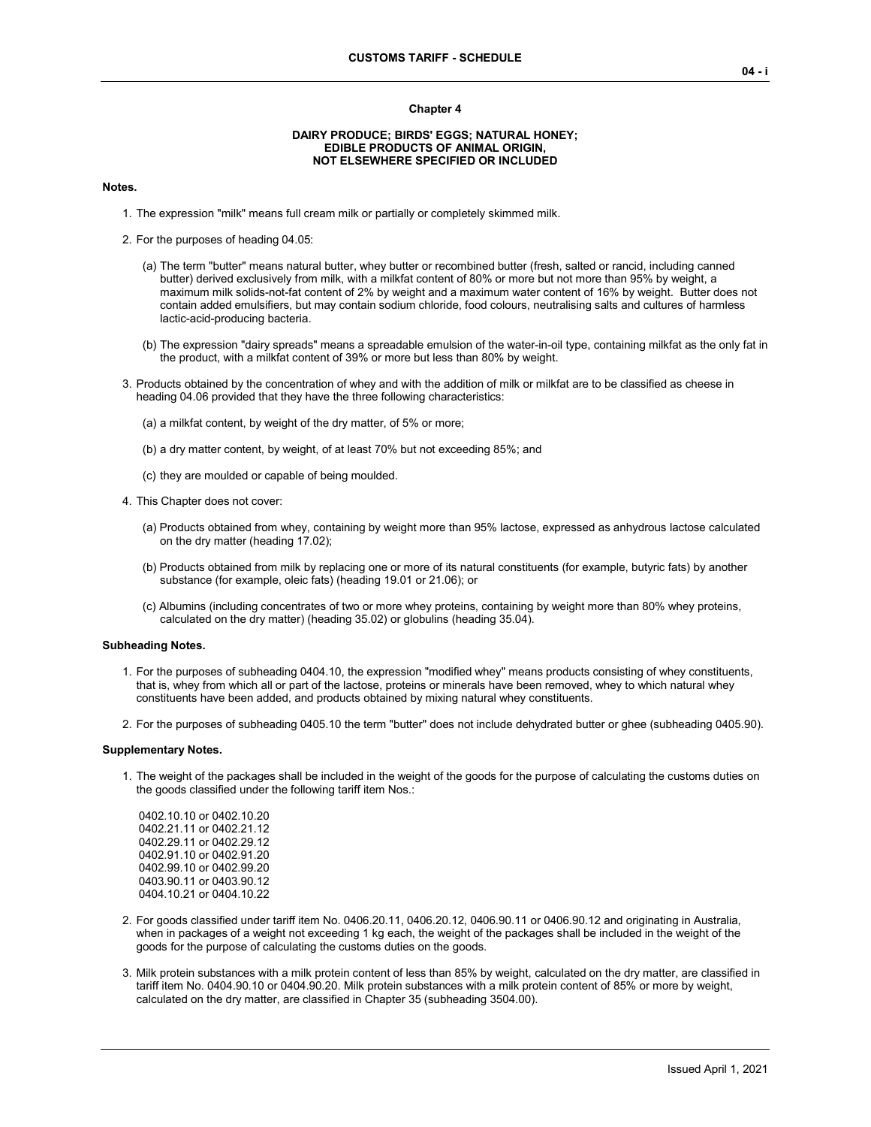#### **Chapter 4**

## **DAIRY PRODUCE; BIRDS' EGGS; NATURAL HONEY; EDIBLE PRODUCTS OF ANIMAL ORIGIN, NOT ELSEWHERE SPECIFIED OR INCLUDED**

## **Notes.**

- 1. The expression "milk" means full cream milk or partially or completely skimmed milk.
- 2. For the purposes of heading 04.05:
	- (a) The term "butter" means natural butter, whey butter or recombined butter (fresh, salted or rancid, including canned butter) derived exclusively from milk, with a milkfat content of 80% or more but not more than 95% by weight, a maximum milk solids-not-fat content of 2% by weight and a maximum water content of 16% by weight. Butter does not contain added emulsifiers, but may contain sodium chloride, food colours, neutralising salts and cultures of harmless lactic-acid-producing bacteria.
	- (b) The expression "dairy spreads" means a spreadable emulsion of the water-in-oil type, containing milkfat as the only fat in the product, with a milkfat content of 39% or more but less than 80% by weight.
- 3. Products obtained by the concentration of whey and with the addition of milk or milkfat are to be classified as cheese in heading 04.06 provided that they have the three following characteristics:
	- (a) a milkfat content, by weight of the dry matter, of 5% or more;
	- (b) a dry matter content, by weight, of at least 70% but not exceeding 85%; and
	- (c) they are moulded or capable of being moulded.
- 4. This Chapter does not cover:
	- (a) Products obtained from whey, containing by weight more than 95% lactose, expressed as anhydrous lactose calculated on the dry matter (heading 17.02);
	- (b) Products obtained from milk by replacing one or more of its natural constituents (for example, butyric fats) by another substance (for example, oleic fats) (heading 19.01 or 21.06); or
	- (c) Albumins (including concentrates of two or more whey proteins, containing by weight more than 80% whey proteins, calculated on the dry matter) (heading 35.02) or globulins (heading 35.04).

## **Subheading Notes.**

- 1. For the purposes of subheading 0404.10, the expression "modified whey" means products consisting of whey constituents, that is, whey from which all or part of the lactose, proteins or minerals have been removed, whey to which natural whey constituents have been added, and products obtained by mixing natural whey constituents.
- 2. For the purposes of subheading 0405.10 the term "butter" does not include dehydrated butter or ghee (subheading 0405.90).

#### **Supplementary Notes.**

1. The weight of the packages shall be included in the weight of the goods for the purpose of calculating the customs duties on the goods classified under the following tariff item Nos.:

0402.10.10 or 0402.10.20 0402.21.11 or 0402.21.12 0402.29.11 or 0402.29.12 0402.91.10 or 0402.91.20 0402.99.10 or 0402.99.20 0403.90.11 or 0403.90.12 0404.10.21 or 0404.10.22

- 2. For goods classified under tariff item No. 0406.20.11, 0406.20.12, 0406.90.11 or 0406.90.12 and originating in Australia, when in packages of a weight not exceeding 1 kg each, the weight of the packages shall be included in the weight of the goods for the purpose of calculating the customs duties on the goods.
- 3. Milk protein substances with a milk protein content of less than 85% by weight, calculated on the dry matter, are classified in tariff item No. 0404.90.10 or 0404.90.20. Milk protein substances with a milk protein content of 85% or more by weight, calculated on the dry matter, are classified in Chapter 35 (subheading 3504.00).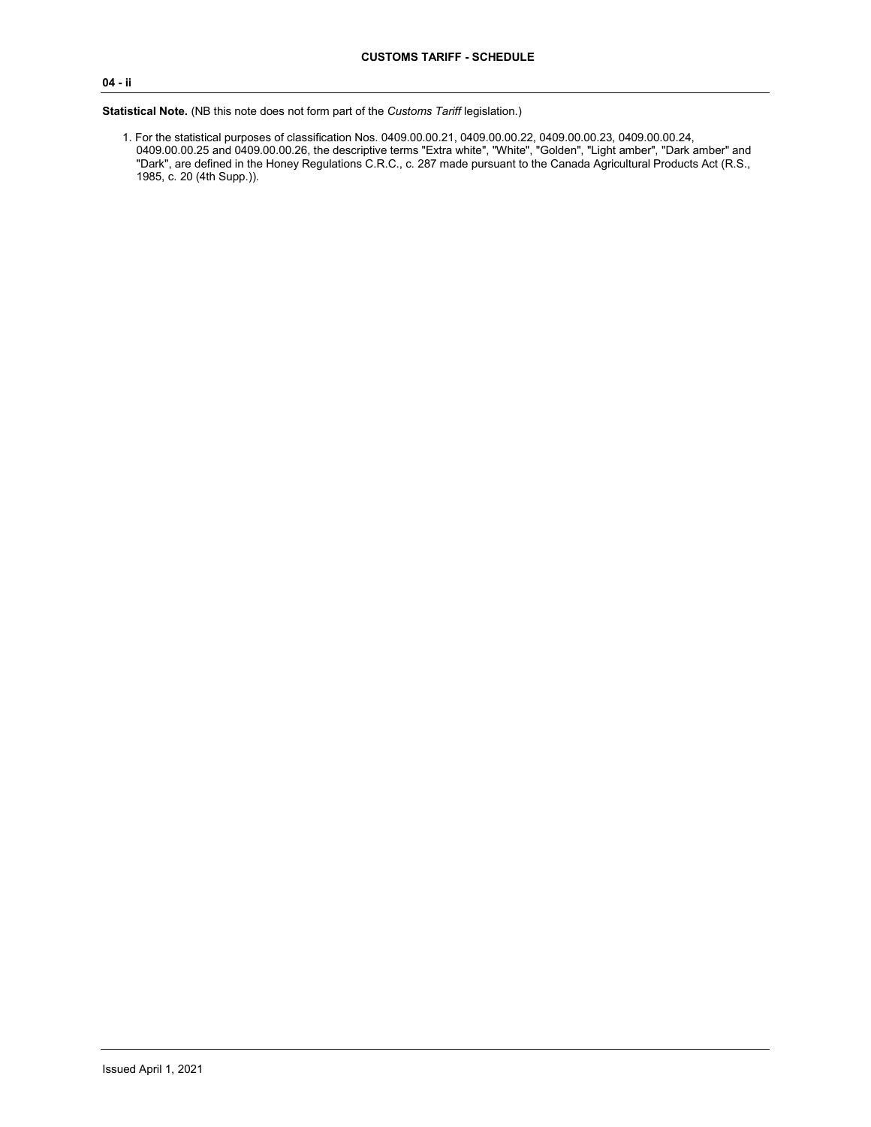# **04 - ii**

**Statistical Note.** (NB this note does not form part of the *Customs Tariff* legislation.)

1. For the statistical purposes of classification Nos. 0409.00.00.21, 0409.00.00.22, 0409.00.00.23, 0409.00.00.24, 0409.00.00.25 and 0409.00.00.26, the descriptive terms "Extra white", "White", "Golden", "Light amber", "Dark amber" and "Dark", are defined in the Honey Regulations C.R.C., c. 287 made pursuant to the Canada Agricultural Products Act (R.S., 1985, c. 20 (4th Supp.)).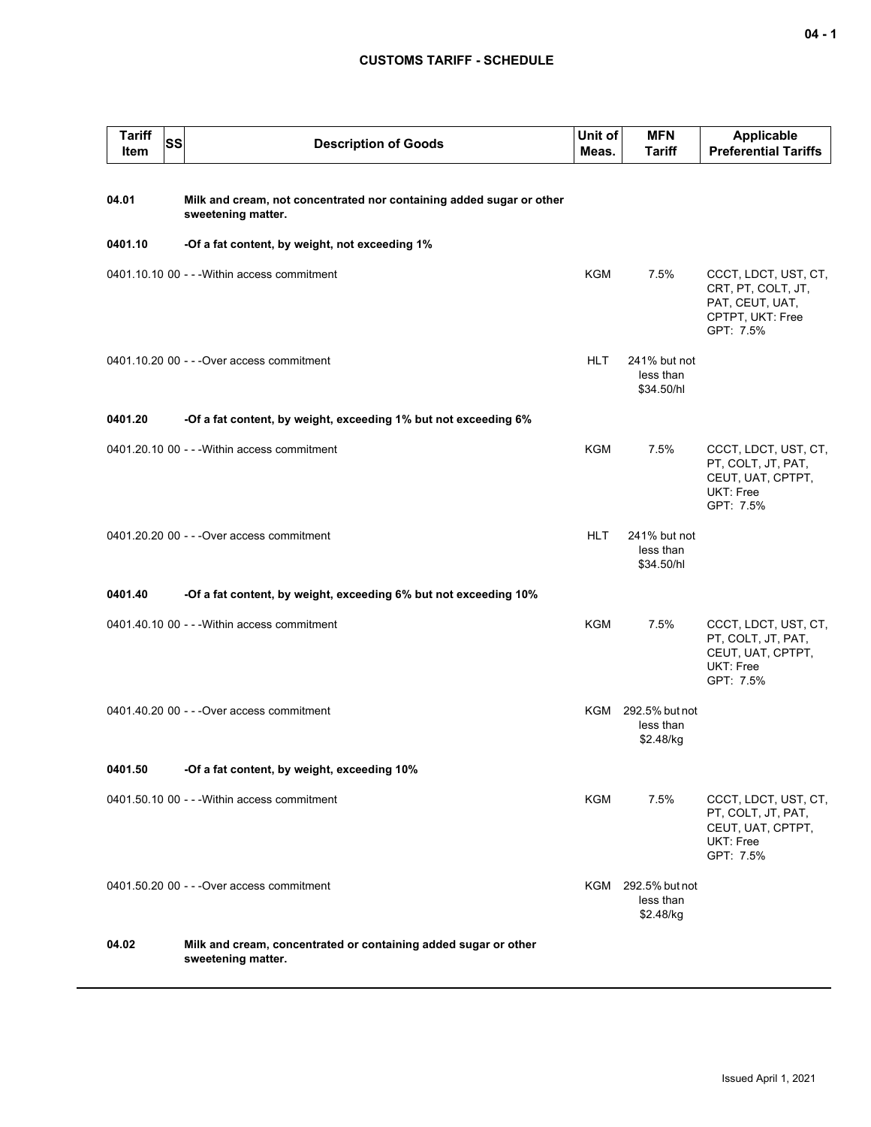# **CUSTOMS TARIFF - SCHEDULE**

| <b>Tariff</b><br>Item | SS | <b>Description of Goods</b>                                                                | Unit of<br>Meas. | <b>MFN</b><br><b>Tariff</b>                  | <b>Applicable</b><br><b>Preferential Tariffs</b>                                               |
|-----------------------|----|--------------------------------------------------------------------------------------------|------------------|----------------------------------------------|------------------------------------------------------------------------------------------------|
| 04.01                 |    | Milk and cream, not concentrated nor containing added sugar or other<br>sweetening matter. |                  |                                              |                                                                                                |
| 0401.10               |    | -Of a fat content, by weight, not exceeding 1%                                             |                  |                                              |                                                                                                |
|                       |    | 0401.10.10 00 - - - Within access commitment                                               | KGM              | 7.5%                                         | CCCT, LDCT, UST, CT,<br>CRT, PT, COLT, JT,<br>PAT, CEUT, UAT,<br>CPTPT, UKT: Free<br>GPT: 7.5% |
|                       |    | 0401.10.20 00 - - - Over access commitment                                                 | <b>HLT</b>       | 241% but not<br>less than<br>\$34.50/hl      |                                                                                                |
| 0401.20               |    | -Of a fat content, by weight, exceeding 1% but not exceeding 6%                            |                  |                                              |                                                                                                |
|                       |    | 0401.20.10 00 - - - Within access commitment                                               | <b>KGM</b>       | 7.5%                                         | CCCT, LDCT, UST, CT,<br>PT, COLT, JT, PAT,<br>CEUT, UAT, CPTPT,<br>UKT: Free<br>GPT: 7.5%      |
|                       |    | 0401.20.20 00 - - - Over access commitment                                                 | <b>HLT</b>       | 241% but not<br>less than<br>\$34.50/hl      |                                                                                                |
| 0401.40               |    | -Of a fat content, by weight, exceeding 6% but not exceeding 10%                           |                  |                                              |                                                                                                |
|                       |    | 0401.40.10 00 - - - Within access commitment                                               | <b>KGM</b>       | 7.5%                                         | CCCT, LDCT, UST, CT,<br>PT, COLT, JT, PAT,<br>CEUT, UAT, CPTPT,<br>UKT: Free<br>GPT: 7.5%      |
|                       |    | 0401.40.20 00 - - - Over access commitment                                                 |                  | KGM 292.5% but not<br>less than<br>\$2.48/kg |                                                                                                |
| 0401.50               |    | -Of a fat content, by weight, exceeding 10%                                                |                  |                                              |                                                                                                |
|                       |    | 0401.50.10 00 - - - Within access commitment                                               | <b>KGM</b>       | 7.5%                                         | CCCT, LDCT, UST, CT,<br>PT, COLT, JT, PAT,<br>CEUT, UAT, CPTPT,<br>UKT: Free<br>GPT: 7.5%      |
|                       |    | 0401.50.20 00 - - - Over access commitment                                                 |                  | KGM 292.5% but not<br>less than<br>\$2.48/kg |                                                                                                |
| 04.02                 |    | Milk and cream, concentrated or containing added sugar or other<br>sweetening matter.      |                  |                                              |                                                                                                |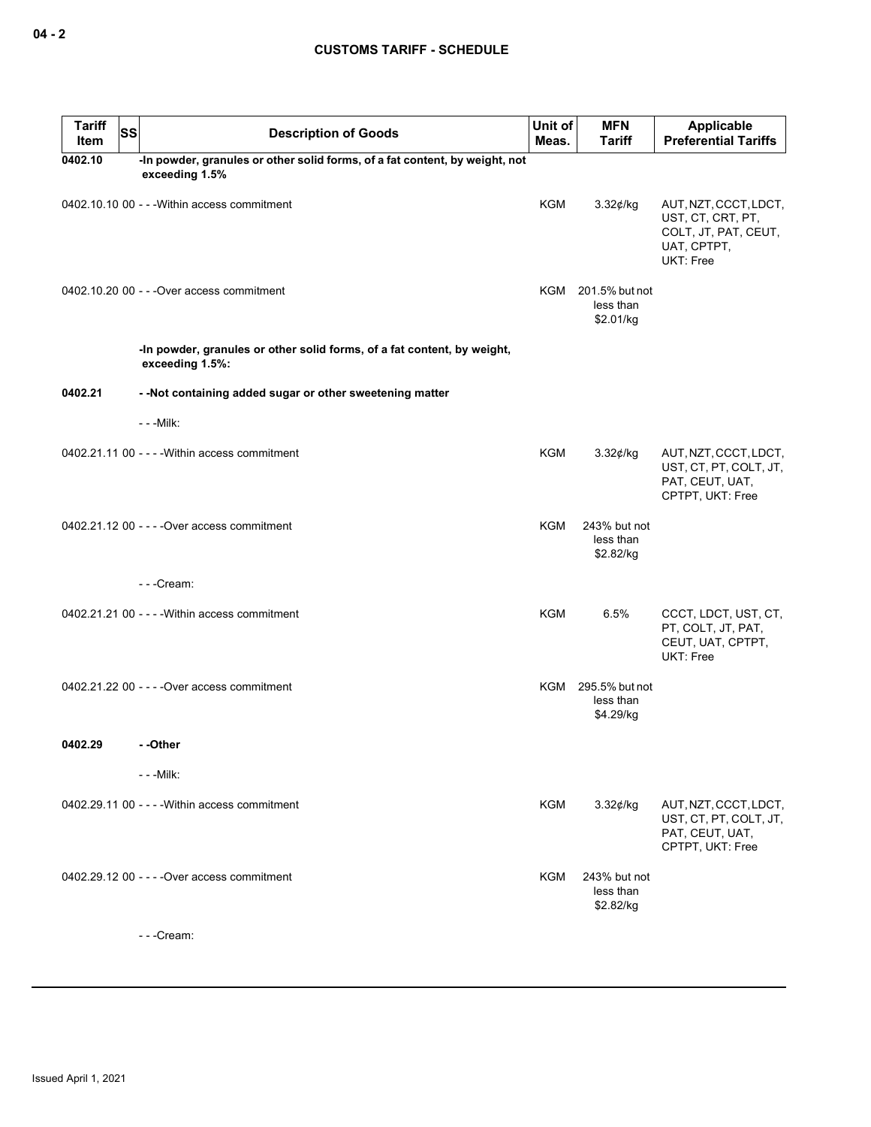| <b>Tariff</b><br>Item | <b>SS</b> | <b>Description of Goods</b>                                                                   | Unit of<br>Meas. | <b>MFN</b><br><b>Tariff</b>                  | Applicable<br><b>Preferential Tariffs</b>                                                      |
|-----------------------|-----------|-----------------------------------------------------------------------------------------------|------------------|----------------------------------------------|------------------------------------------------------------------------------------------------|
| 0402.10               |           | -In powder, granules or other solid forms, of a fat content, by weight, not<br>exceeding 1.5% |                  |                                              |                                                                                                |
|                       |           | 0402.10.10 00 - - - Within access commitment                                                  | KGM              | $3.32$ ¢/kg                                  | AUT, NZT, CCCT, LDCT,<br>UST, CT, CRT, PT,<br>COLT, JT, PAT, CEUT,<br>UAT, CPTPT,<br>UKT: Free |
|                       |           | 0402.10.20 00 - - - Over access commitment                                                    |                  | KGM 201.5% but not<br>less than<br>\$2.01/kg |                                                                                                |
|                       |           | -In powder, granules or other solid forms, of a fat content, by weight,<br>exceeding 1.5%:    |                  |                                              |                                                                                                |
| 0402.21               |           | - - Not containing added sugar or other sweetening matter                                     |                  |                                              |                                                                                                |
|                       |           | $- -$ Milk:                                                                                   |                  |                                              |                                                                                                |
|                       |           | 0402.21.11 00 - - - - Within access commitment                                                | KGM              | 3.32¢/kg                                     | AUT, NZT, CCCT, LDCT,<br>UST, CT, PT, COLT, JT,<br>PAT, CEUT, UAT,<br>CPTPT, UKT: Free         |
|                       |           | 0402.21.12 00 - - - - Over access commitment                                                  | <b>KGM</b>       | 243% but not<br>less than<br>\$2.82/kg       |                                                                                                |
|                       |           | ---Cream:                                                                                     |                  |                                              |                                                                                                |
|                       |           | 0402.21.21 00 - - - - Within access commitment                                                | <b>KGM</b>       | 6.5%                                         | CCCT, LDCT, UST, CT,<br>PT, COLT, JT, PAT,<br>CEUT, UAT, CPTPT,<br>UKT: Free                   |
|                       |           | 0402.21.22 00 - - - - Over access commitment                                                  |                  | KGM 295.5% but not<br>less than<br>\$4.29/kg |                                                                                                |
| 0402.29               |           | - -Other                                                                                      |                  |                                              |                                                                                                |
|                       |           | - - - Milk:                                                                                   |                  |                                              |                                                                                                |
|                       |           | 0402.29.11 00 - - - - Within access commitment                                                | KGM              | $3.32$ ¢/kg                                  | AUT, NZT, CCCT, LDCT,<br>UST, CT, PT, COLT, JT,<br>PAT, CEUT, UAT,<br>CPTPT, UKT: Free         |
|                       |           | 0402.29.12 00 - - - - Over access commitment                                                  | KGM              | 243% but not<br>less than<br>\$2.82/kg       |                                                                                                |
|                       |           | ---Cream:                                                                                     |                  |                                              |                                                                                                |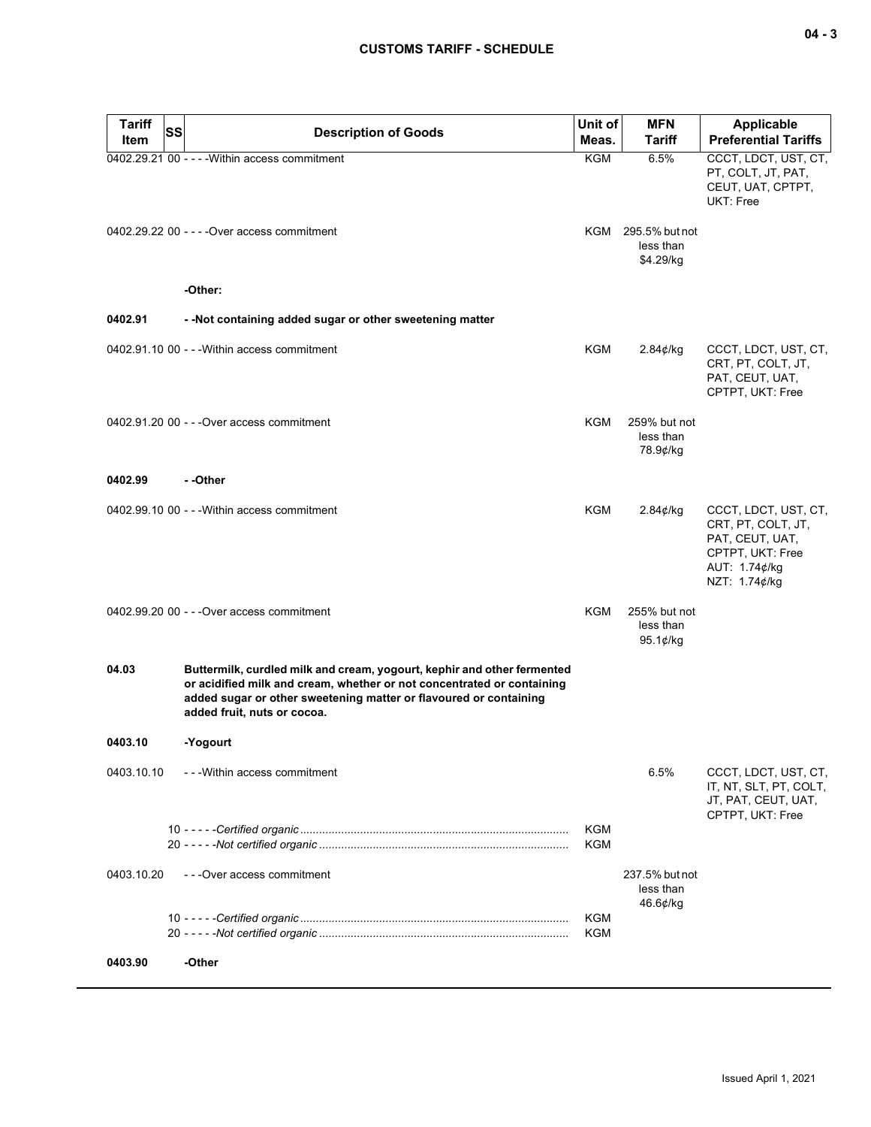| <b>Tariff</b><br>Item | SS<br><b>Description of Goods</b>                                                                                                                                                                                                                     | Unit of<br>Meas. | <b>MFN</b><br>Tariff                         | Applicable<br><b>Preferential Tariffs</b>                                                                           |
|-----------------------|-------------------------------------------------------------------------------------------------------------------------------------------------------------------------------------------------------------------------------------------------------|------------------|----------------------------------------------|---------------------------------------------------------------------------------------------------------------------|
|                       | 0402.29.21 00 - - - - Within access commitment                                                                                                                                                                                                        | <b>KGM</b>       | 6.5%                                         | CCCT, LDCT, UST, CT,<br>PT, COLT, JT, PAT,<br>CEUT, UAT, CPTPT,<br>UKT: Free                                        |
|                       | 0402.29.22 00 - - - - Over access commitment                                                                                                                                                                                                          |                  | KGM 295.5% but not<br>less than<br>\$4.29/kg |                                                                                                                     |
|                       | -Other:                                                                                                                                                                                                                                               |                  |                                              |                                                                                                                     |
| 0402.91               | - -Not containing added sugar or other sweetening matter                                                                                                                                                                                              |                  |                                              |                                                                                                                     |
|                       | 0402.91.10 00 - - - Within access commitment                                                                                                                                                                                                          | KGM              | 2.84¢/kg                                     | CCCT, LDCT, UST, CT,<br>CRT, PT, COLT, JT,<br>PAT, CEUT, UAT,<br>CPTPT, UKT: Free                                   |
|                       | 0402.91.20 00 - - - Over access commitment                                                                                                                                                                                                            | KGM              | 259% but not<br>less than<br>78.9¢/kg        |                                                                                                                     |
| 0402.99               | - -Other                                                                                                                                                                                                                                              |                  |                                              |                                                                                                                     |
|                       | 0402.99.10 00 - - - Within access commitment                                                                                                                                                                                                          | KGM              | 2.84¢/kg                                     | CCCT, LDCT, UST, CT,<br>CRT, PT, COLT, JT,<br>PAT, CEUT, UAT,<br>CPTPT, UKT: Free<br>AUT: 1.74¢/kg<br>NZT: 1.74¢/kg |
|                       | 0402.99.20 00 - - - Over access commitment                                                                                                                                                                                                            | KGM              | 255% but not<br>less than<br>95.1 $¢$ /kg    |                                                                                                                     |
| 04.03                 | Buttermilk, curdled milk and cream, yogourt, kephir and other fermented<br>or acidified milk and cream, whether or not concentrated or containing<br>added sugar or other sweetening matter or flavoured or containing<br>added fruit, nuts or cocoa. |                  |                                              |                                                                                                                     |
| 0403.10               | -Yogourt                                                                                                                                                                                                                                              |                  |                                              |                                                                                                                     |
| 0403.10.10            | - - - Within access commitment                                                                                                                                                                                                                        |                  | 6.5%                                         | CCCT, LDCT, UST, CT,<br>IT, NT, SLT, PT, COLT,<br>JT, PAT, CEUT, UAT,<br>CPTPT, UKT: Free                           |
|                       |                                                                                                                                                                                                                                                       | KGM<br>KGM       |                                              |                                                                                                                     |
| 0403.10.20            | - - - Over access commitment                                                                                                                                                                                                                          |                  | 237.5% but not<br>less than<br>$46.6$ ¢/kg   |                                                                                                                     |
|                       |                                                                                                                                                                                                                                                       | KGM<br>KGM       |                                              |                                                                                                                     |
| 0403.90               | -Other                                                                                                                                                                                                                                                |                  |                                              |                                                                                                                     |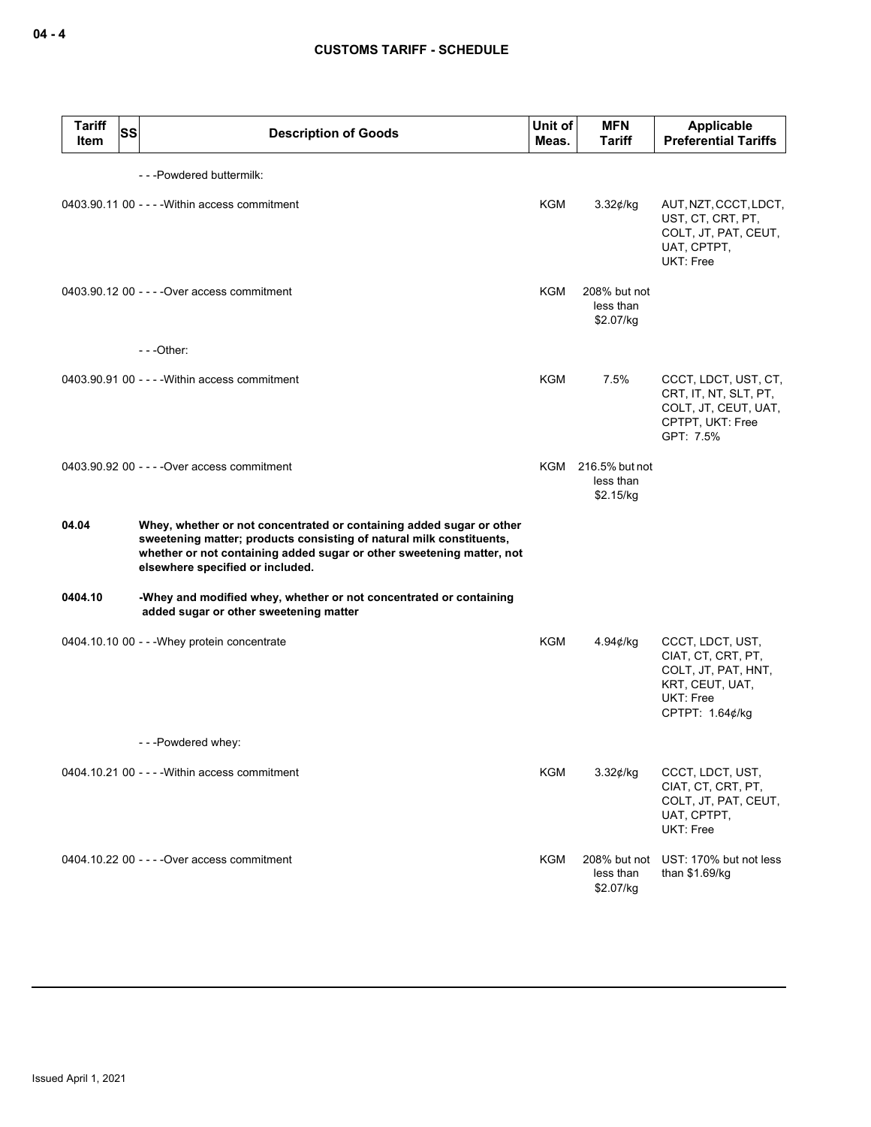| <b>Tariff</b><br>ltem | SS | <b>Description of Goods</b>                                                                                                                                                                                                                               | Unit of<br>Meas. | <b>MFN</b><br>Tariff                         | <b>Applicable</b><br><b>Preferential Tariffs</b>                                                                 |
|-----------------------|----|-----------------------------------------------------------------------------------------------------------------------------------------------------------------------------------------------------------------------------------------------------------|------------------|----------------------------------------------|------------------------------------------------------------------------------------------------------------------|
|                       |    | ---Powdered buttermilk:                                                                                                                                                                                                                                   |                  |                                              |                                                                                                                  |
|                       |    | 0403.90.11 00 - - - - Within access commitment                                                                                                                                                                                                            | KGM              | 3.32¢/kg                                     | AUT, NZT, CCCT, LDCT,<br>UST, CT, CRT, PT,<br>COLT, JT, PAT, CEUT,<br>UAT, CPTPT,<br>UKT: Free                   |
|                       |    | 0403.90.12 00 - - - - Over access commitment                                                                                                                                                                                                              | <b>KGM</b>       | 208% but not<br>less than<br>\$2.07/kg       |                                                                                                                  |
|                       |    | $--$ Other:                                                                                                                                                                                                                                               |                  |                                              |                                                                                                                  |
|                       |    | 0403.90.91 00 - - - - Within access commitment                                                                                                                                                                                                            | KGM              | 7.5%                                         | CCCT, LDCT, UST, CT,<br>CRT, IT, NT, SLT, PT,<br>COLT, JT, CEUT, UAT,<br>CPTPT, UKT: Free<br>GPT: 7.5%           |
|                       |    | 0403.90.92 00 - - - - Over access commitment                                                                                                                                                                                                              |                  | KGM 216.5% but not<br>less than<br>\$2.15/kg |                                                                                                                  |
| 04.04                 |    | Whey, whether or not concentrated or containing added sugar or other<br>sweetening matter; products consisting of natural milk constituents,<br>whether or not containing added sugar or other sweetening matter, not<br>elsewhere specified or included. |                  |                                              |                                                                                                                  |
| 0404.10               |    | -Whey and modified whey, whether or not concentrated or containing<br>added sugar or other sweetening matter                                                                                                                                              |                  |                                              |                                                                                                                  |
|                       |    | 0404.10.10 00 - - - Whey protein concentrate                                                                                                                                                                                                              | <b>KGM</b>       | 4.94 $\phi$ /kg                              | CCCT, LDCT, UST,<br>CIAT, CT, CRT, PT,<br>COLT, JT, PAT, HNT,<br>KRT, CEUT, UAT,<br>UKT: Free<br>CPTPT: 1.64¢/kg |
|                       |    | ---Powdered whey:                                                                                                                                                                                                                                         |                  |                                              |                                                                                                                  |
|                       |    | 0404.10.21 00 - - - - Within access commitment                                                                                                                                                                                                            | KGM              | $3.32$ ¢/kg                                  | CCCT, LDCT, UST,<br>CIAT, CT, CRT, PT,<br>COLT, JT, PAT, CEUT,<br>UAT, CPTPT,<br><b>UKT: Free</b>                |
|                       |    | 0404.10.22 00 - - - - Over access commitment                                                                                                                                                                                                              | KGM              | 208% but not<br>less than<br>\$2.07/kg       | UST: 170% but not less<br>than \$1.69/kg                                                                         |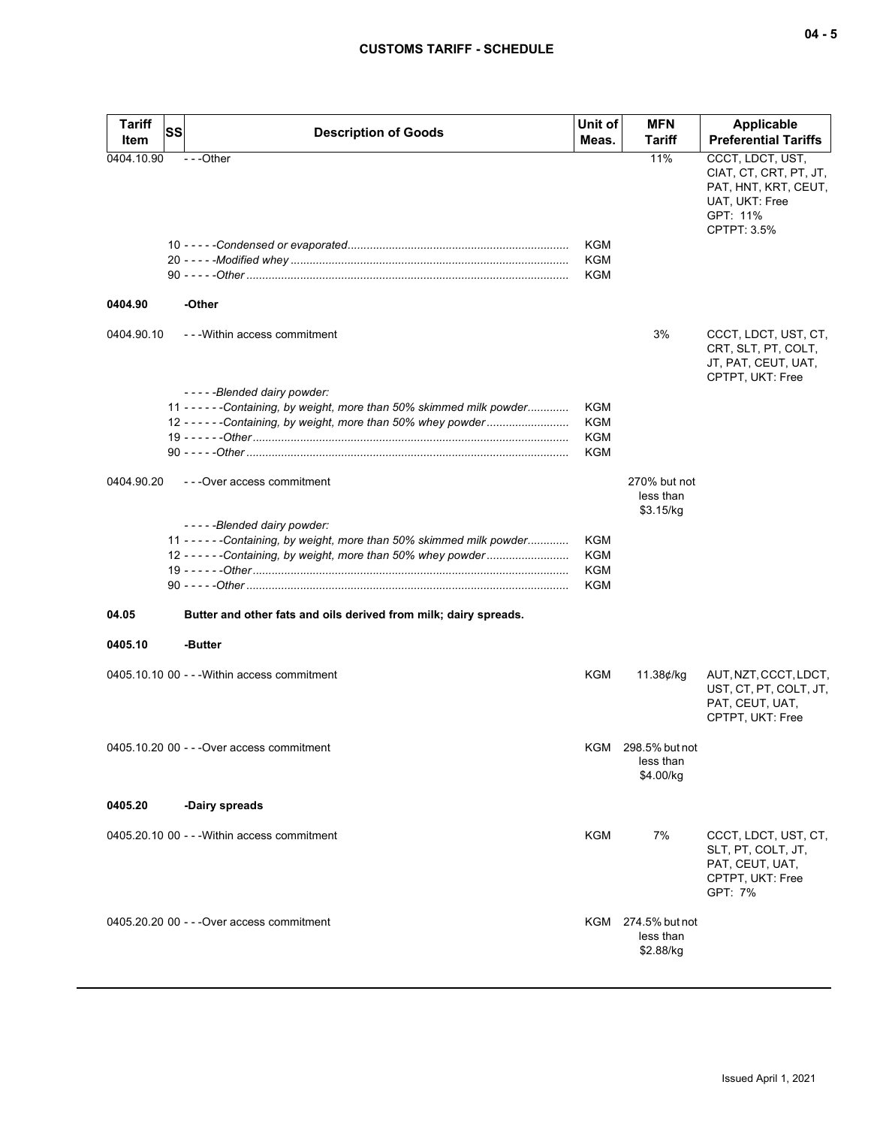| ×<br>۰. |  | ×<br>۰. |
|---------|--|---------|
|---------|--|---------|

| <b>Tariff</b><br>Item | SS | <b>Description of Goods</b>                                             | Unit of<br>Meas. | <b>MFN</b><br><b>Tariff</b>                  | <b>Applicable</b><br><b>Preferential Tariffs</b>                                                                |
|-----------------------|----|-------------------------------------------------------------------------|------------------|----------------------------------------------|-----------------------------------------------------------------------------------------------------------------|
| 0404.10.90            |    | $- -$ Other                                                             | <b>KGM</b>       | 11%                                          | CCCT, LDCT, UST,<br>CIAT, CT, CRT, PT, JT,<br>PAT, HNT, KRT, CEUT,<br>UAT, UKT: Free<br>GPT: 11%<br>CPTPT: 3.5% |
|                       |    |                                                                         | KGM              |                                              |                                                                                                                 |
|                       |    |                                                                         | <b>KGM</b>       |                                              |                                                                                                                 |
| 0404.90               |    | -Other                                                                  |                  |                                              |                                                                                                                 |
| 0404.90.10            |    | --- Within access commitment                                            |                  | 3%                                           | CCCT, LDCT, UST, CT,<br>CRT, SLT, PT, COLT,<br>JT, PAT, CEUT, UAT,<br>CPTPT, UKT: Free                          |
|                       |    | -----Blended dairy powder:                                              |                  |                                              |                                                                                                                 |
|                       |    | 11 - - - - - - Containing, by weight, more than 50% skimmed milk powder | KGM              |                                              |                                                                                                                 |
|                       |    | 12 - - - - - - Containing, by weight, more than 50% whey powder         | KGM<br>KGM       |                                              |                                                                                                                 |
|                       |    |                                                                         | KGM              |                                              |                                                                                                                 |
|                       |    |                                                                         |                  |                                              |                                                                                                                 |
| 0404.90.20            |    | - - - Over access commitment                                            |                  | 270% but not<br>less than<br>\$3.15/kg       |                                                                                                                 |
|                       |    | -----Blended dairy powder:                                              |                  |                                              |                                                                                                                 |
|                       |    | 11 - - - - - - Containing, by weight, more than 50% skimmed milk powder | KGM              |                                              |                                                                                                                 |
|                       |    | 12 - - - - - - Containing, by weight, more than 50% whey powder         | KGM              |                                              |                                                                                                                 |
|                       |    |                                                                         | KGM              |                                              |                                                                                                                 |
|                       |    |                                                                         | <b>KGM</b>       |                                              |                                                                                                                 |
| 04.05                 |    | Butter and other fats and oils derived from milk; dairy spreads.        |                  |                                              |                                                                                                                 |
| 0405.10               |    | -Butter                                                                 |                  |                                              |                                                                                                                 |
|                       |    | 0405.10.10 00 - - - Within access commitment                            | KGM              | 11.38¢/kg                                    | AUT, NZT, CCCT, LDCT,<br>UST, CT, PT, COLT, JT,<br>PAT, CEUT, UAT,<br>CPTPT, UKT: Free                          |
|                       |    | 0405.10.20 00 - - - Over access commitment                              |                  | KGM 298.5% but not<br>less than<br>\$4.00/kg |                                                                                                                 |
| 0405.20               |    | -Dairy spreads                                                          |                  |                                              |                                                                                                                 |
|                       |    | 0405.20.10 00 - - - Within access commitment                            | <b>KGM</b>       | 7%                                           | CCCT, LDCT, UST, CT,<br>SLT, PT, COLT, JT,<br>PAT, CEUT, UAT,<br>CPTPT, UKT: Free<br>GPT: 7%                    |
|                       |    | 0405.20.20 00 - - - Over access commitment                              |                  | KGM 274.5% but not<br>less than<br>\$2.88/kg |                                                                                                                 |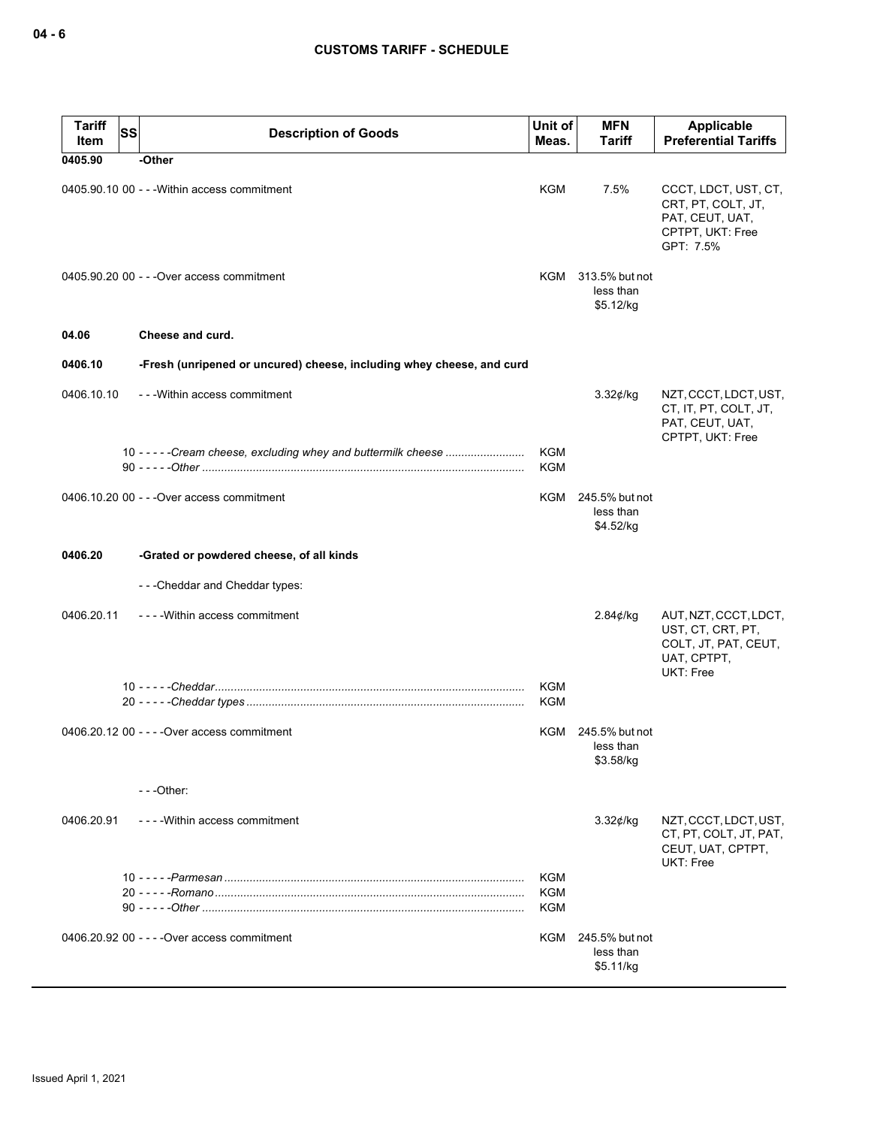| <b>Tariff</b><br>Item | SS | <b>Description of Goods</b>                                           | Unit of<br>Meas.         | <b>MFN</b><br>Tariff                         | <b>Applicable</b><br><b>Preferential Tariffs</b>                                               |
|-----------------------|----|-----------------------------------------------------------------------|--------------------------|----------------------------------------------|------------------------------------------------------------------------------------------------|
| 0405.90               |    | -Other                                                                |                          |                                              |                                                                                                |
|                       |    | 0405.90.10 00 - - - Within access commitment                          | KGM                      | 7.5%                                         | CCCT, LDCT, UST, CT,<br>CRT, PT, COLT, JT,<br>PAT, CEUT, UAT,<br>CPTPT, UKT: Free<br>GPT: 7.5% |
|                       |    | 0405.90.20 00 - - - Over access commitment                            |                          | KGM 313.5% but not<br>less than<br>\$5.12/kg |                                                                                                |
| 04.06                 |    | Cheese and curd.                                                      |                          |                                              |                                                                                                |
| 0406.10               |    | -Fresh (unripened or uncured) cheese, including whey cheese, and curd |                          |                                              |                                                                                                |
| 0406.10.10            |    | - - - Within access commitment                                        |                          | $3.32$ ¢/kg                                  | NZT, CCCT, LDCT, UST,<br>CT, IT, PT, COLT, JT,<br>PAT, CEUT, UAT,<br>CPTPT, UKT: Free          |
|                       |    | 10 - - - - - Cream cheese, excluding whey and buttermilk cheese       | KGM<br><b>KGM</b>        |                                              |                                                                                                |
|                       |    | 0406.10.20 00 - - - Over access commitment                            | KGM                      | 245.5% but not<br>less than<br>\$4.52/kg     |                                                                                                |
| 0406.20               |    | -Grated or powdered cheese, of all kinds                              |                          |                                              |                                                                                                |
|                       |    | ---Cheddar and Cheddar types:                                         |                          |                                              |                                                                                                |
| 0406.20.11            |    | ----Within access commitment                                          |                          | 2.84¢/kg                                     | AUT, NZT, CCCT, LDCT,<br>UST, CT, CRT, PT,<br>COLT, JT, PAT, CEUT,<br>UAT, CPTPT,<br>UKT: Free |
|                       |    |                                                                       | <b>KGM</b><br>KGM        |                                              |                                                                                                |
|                       |    | 0406.20.12 00 - - - - Over access commitment                          | KGM                      | 245.5% but not<br>less than<br>\$3.58/kg     |                                                                                                |
|                       |    | $-$ - - Other:                                                        |                          |                                              |                                                                                                |
| 0406.20.91            |    | ----Within access commitment                                          |                          | $3.32$ ¢/kg                                  | NZT, CCCT, LDCT, UST,<br>CT, PT, COLT, JT, PAT,<br>CEUT, UAT, CPTPT,<br>UKT: Free              |
|                       |    |                                                                       | <b>KGM</b><br><b>KGM</b> |                                              |                                                                                                |
|                       |    |                                                                       | <b>KGM</b>               |                                              |                                                                                                |
|                       |    | 0406.20.92 00 - - - - Over access commitment                          |                          | KGM 245.5% but not<br>less than<br>\$5.11/kg |                                                                                                |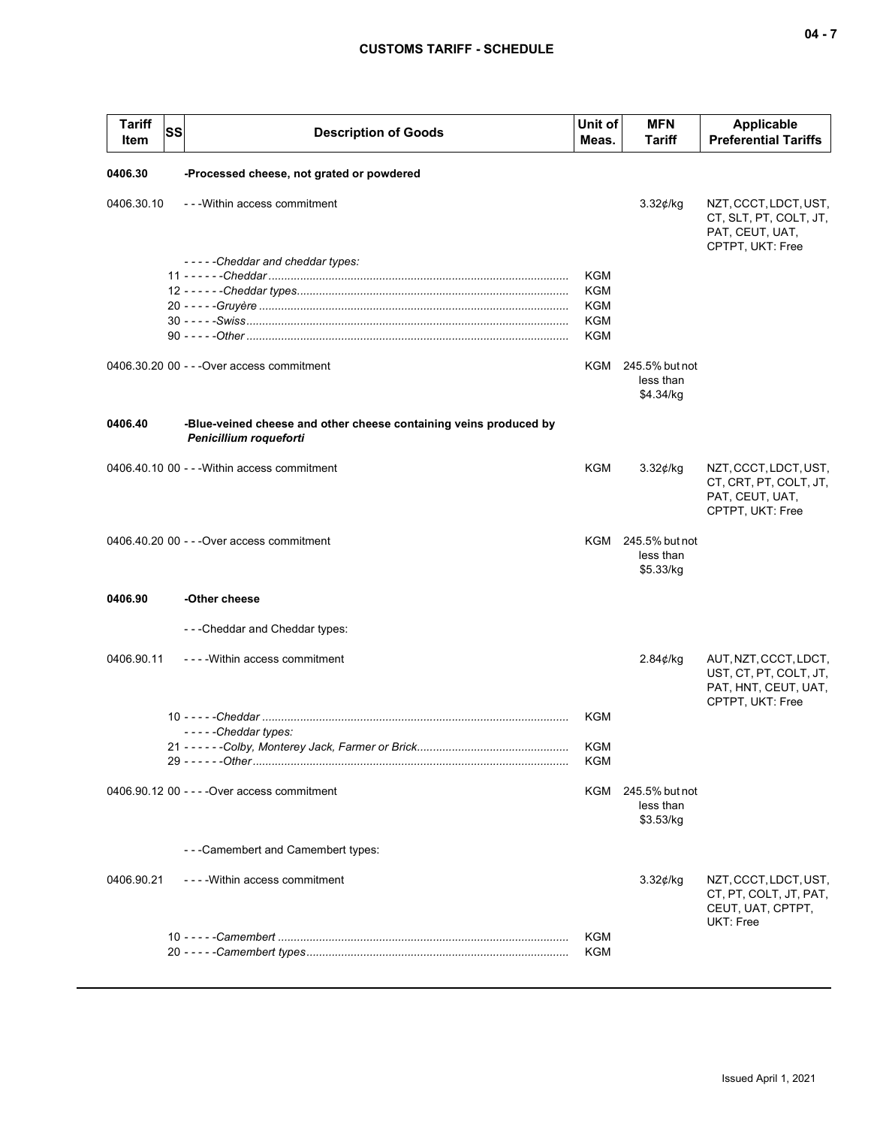| <b>Tariff</b><br>SS<br>Item | <b>Description of Goods</b>                                                                 | Unit of<br>Meas. | <b>MFN</b><br>Tariff                         | <b>Applicable</b><br><b>Preferential Tariffs</b>                                            |
|-----------------------------|---------------------------------------------------------------------------------------------|------------------|----------------------------------------------|---------------------------------------------------------------------------------------------|
| 0406.30                     | -Processed cheese, not grated or powdered                                                   |                  |                                              |                                                                                             |
| 0406.30.10                  | - - - Within access commitment                                                              |                  | $3.32$ ¢/kg                                  | NZT, CCCT, LDCT, UST,<br>CT, SLT, PT, COLT, JT,<br>PAT, CEUT, UAT,<br>CPTPT, UKT: Free      |
|                             | -----Cheddar and cheddar types:                                                             |                  |                                              |                                                                                             |
|                             |                                                                                             | KGM<br>KGM       |                                              |                                                                                             |
|                             |                                                                                             | KGM              |                                              |                                                                                             |
|                             |                                                                                             | KGM              |                                              |                                                                                             |
|                             |                                                                                             | KGM              |                                              |                                                                                             |
|                             | 0406.30.20 00 - - - Over access commitment                                                  | KGM              | 245.5% but not<br>less than<br>\$4.34/kg     |                                                                                             |
| 0406.40                     | -Blue-veined cheese and other cheese containing veins produced by<br>Penicillium roqueforti |                  |                                              |                                                                                             |
|                             | 0406.40.10 00 - - - Within access commitment                                                | KGM              | 3.32¢/kg                                     | NZT, CCCT, LDCT, UST,<br>CT, CRT, PT, COLT, JT,<br>PAT, CEUT, UAT,<br>CPTPT, UKT: Free      |
|                             | 0406.40.20 00 - - - Over access commitment                                                  |                  | KGM 245.5% but not<br>less than<br>\$5.33/kg |                                                                                             |
| 0406.90                     | -Other cheese                                                                               |                  |                                              |                                                                                             |
|                             | - - - Cheddar and Cheddar types:                                                            |                  |                                              |                                                                                             |
| 0406.90.11                  | - - - - Within access commitment                                                            |                  | $2.84$ ¢/kg                                  | AUT, NZT, CCCT, LDCT,<br>UST, CT, PT, COLT, JT,<br>PAT, HNT, CEUT, UAT,<br>CPTPT, UKT: Free |
|                             | $--$ - - - Cheddar types:                                                                   | <b>KGM</b>       |                                              |                                                                                             |
|                             | 21 - - - - - -Colby, Monterey Jack, Farmer or Brick,                                        | KGM<br>KGM       |                                              |                                                                                             |
|                             | 0406.90.12 00 - - - - Over access commitment                                                |                  | KGM 245.5% but not<br>less than<br>\$3.53/kg |                                                                                             |
|                             | - - - Camembert and Camembert types:                                                        |                  |                                              |                                                                                             |
| 0406.90.21                  | - - - - Within access commitment                                                            |                  | $3.32$ ¢/kg                                  | NZT, CCCT, LDCT, UST,<br>CT, PT, COLT, JT, PAT,<br>CEUT, UAT, CPTPT,<br>UKT: Free           |
|                             |                                                                                             | KGM              |                                              |                                                                                             |
|                             |                                                                                             | KGM              |                                              |                                                                                             |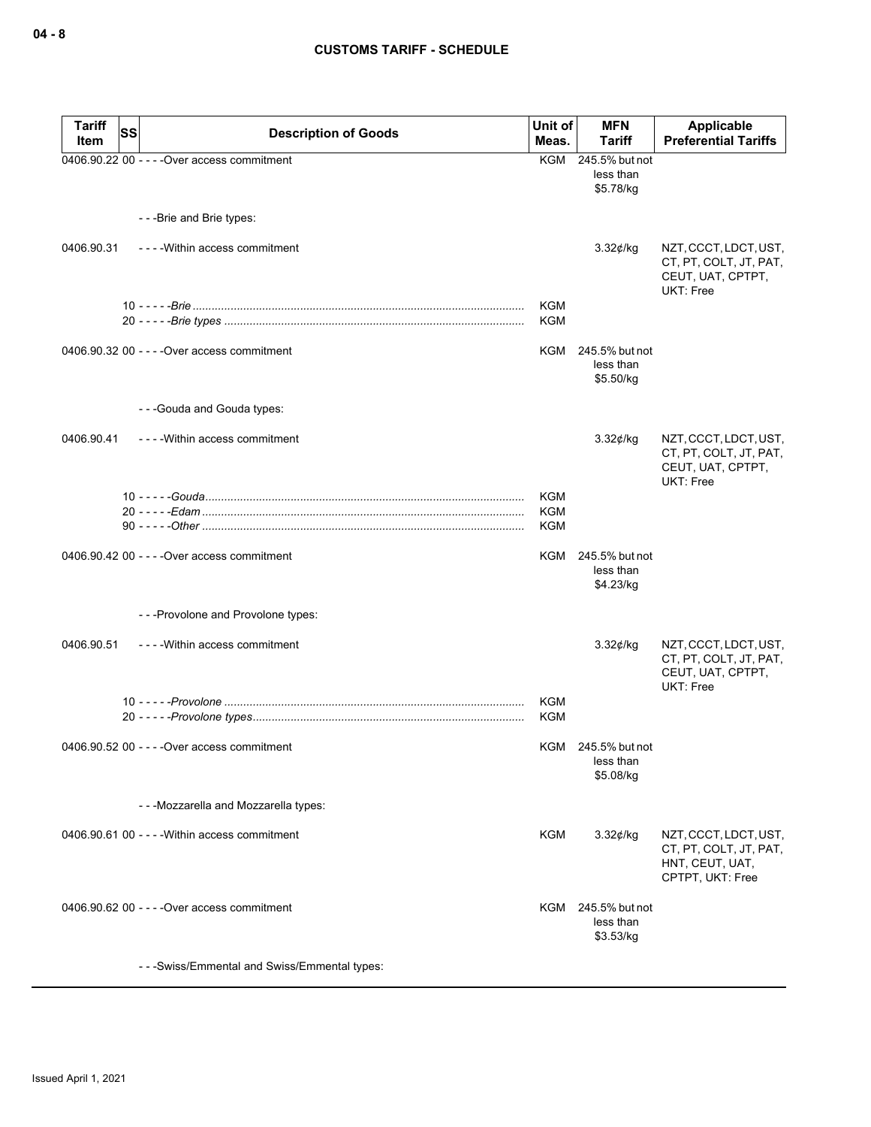| Tariff<br>Item | <b>SS</b> | <b>Description of Goods</b>                    | Unit of<br>Meas.         | <b>MFN</b><br>Tariff                         | Applicable<br><b>Preferential Tariffs</b>                                                |
|----------------|-----------|------------------------------------------------|--------------------------|----------------------------------------------|------------------------------------------------------------------------------------------|
|                |           | 0406.90.22 00 - - - - Over access commitment   | KGM                      | 245.5% but not<br>less than<br>\$5.78/kg     |                                                                                          |
|                |           | ---Brie and Brie types:                        |                          |                                              |                                                                                          |
| 0406.90.31     |           | ----Within access commitment                   |                          | 3.32¢/kg                                     | NZT, CCCT, LDCT, UST,<br>CT, PT, COLT, JT, PAT,<br>CEUT, UAT, CPTPT,<br>UKT: Free        |
|                |           |                                                | <b>KGM</b><br><b>KGM</b> |                                              |                                                                                          |
|                |           | 0406.90.32 00 - - - - Over access commitment   | KGM                      | 245.5% but not<br>less than<br>\$5.50/kg     |                                                                                          |
|                |           | - - - Gouda and Gouda types:                   |                          |                                              |                                                                                          |
| 0406.90.41     |           | ---- Within access commitment                  |                          | 3.32¢/kg                                     | NZT, CCCT, LDCT, UST,<br>CT, PT, COLT, JT, PAT,<br>CEUT, UAT, CPTPT,<br><b>UKT: Free</b> |
|                |           |                                                | <b>KGM</b>               |                                              |                                                                                          |
|                |           |                                                | <b>KGM</b><br><b>KGM</b> |                                              |                                                                                          |
|                |           | 0406.90.42 00 - - - - Over access commitment   | KGM                      | 245.5% but not<br>less than<br>\$4.23/kg     |                                                                                          |
|                |           | - - - Provolone and Provolone types:           |                          |                                              |                                                                                          |
| 0406.90.51     |           | ----Within access commitment                   |                          | $3.32$ ¢/kg                                  | NZT, CCCT, LDCT, UST,<br>CT, PT, COLT, JT, PAT,<br>CEUT, UAT, CPTPT,<br>UKT: Free        |
|                |           |                                                | <b>KGM</b><br><b>KGM</b> |                                              |                                                                                          |
|                |           | 0406.90.52 00 - - - - Over access commitment   | KGM                      | 245.5% but not<br>less than<br>\$5.08/kg     |                                                                                          |
|                |           | - - - Mozzarella and Mozzarella types:         |                          |                                              |                                                                                          |
|                |           | 0406.90.61 00 - - - - Within access commitment | KGM                      | 3.32¢/kg                                     | NZT, CCCT, LDCT, UST,<br>CT, PT, COLT, JT, PAT,<br>HNT, CEUT, UAT,<br>CPTPT, UKT: Free   |
|                |           | 0406.90.62 00 - - - - Over access commitment   |                          | KGM 245.5% but not<br>less than<br>\$3.53/kg |                                                                                          |
|                |           | - - - Swiss/Emmental and Swiss/Emmental types: |                          |                                              |                                                                                          |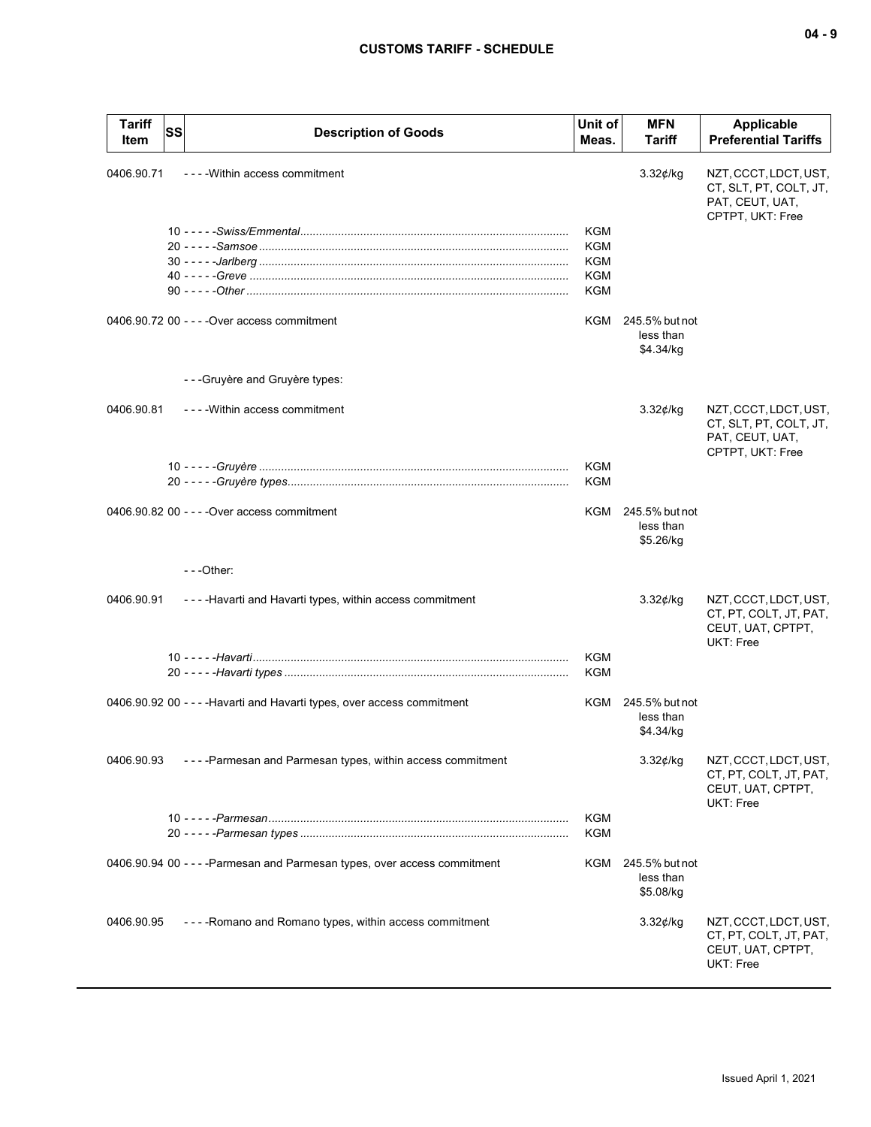| <b>Tariff</b> | SS | <b>Description of Goods</b>                                               | Unit of    | <b>MFN</b>                               | <b>Applicable</b>                                                                      |
|---------------|----|---------------------------------------------------------------------------|------------|------------------------------------------|----------------------------------------------------------------------------------------|
| Item          |    |                                                                           | Meas.      | Tariff                                   | <b>Preferential Tariffs</b>                                                            |
| 0406.90.71    |    | - - - - Within access commitment                                          |            | $3.32$ ¢/kg                              | NZT, CCCT, LDCT, UST,<br>CT, SLT, PT, COLT, JT,<br>PAT, CEUT, UAT,<br>CPTPT, UKT: Free |
|               |    |                                                                           | KGM        |                                          |                                                                                        |
|               |    |                                                                           | KGM<br>KGM |                                          |                                                                                        |
|               |    |                                                                           | KGM        |                                          |                                                                                        |
|               |    |                                                                           | KGM        |                                          |                                                                                        |
|               |    | 0406.90.72 00 - - - - Over access commitment                              | KGM        | 245.5% but not<br>less than<br>\$4.34/kg |                                                                                        |
|               |    | - - - Gruyère and Gruyère types:                                          |            |                                          |                                                                                        |
| 0406.90.81    |    | - - - - Within access commitment                                          |            | $3.32$ ¢/kg                              | NZT, CCCT, LDCT, UST,<br>CT, SLT, PT, COLT, JT,<br>PAT, CEUT, UAT,<br>CPTPT, UKT: Free |
|               |    |                                                                           | <b>KGM</b> |                                          |                                                                                        |
|               |    |                                                                           | KGM        |                                          |                                                                                        |
|               |    | 0406.90.82 00 - - - - Over access commitment                              | KGM        | 245.5% but not<br>less than<br>\$5.26/kg |                                                                                        |
|               |    | - - -Other:                                                               |            |                                          |                                                                                        |
| 0406.90.91    |    | ----Havarti and Havarti types, within access commitment                   |            | $3.32$ ¢/kg                              | NZT, CCCT, LDCT, UST,<br>CT, PT, COLT, JT, PAT,<br>CEUT, UAT, CPTPT,<br>UKT: Free      |
|               |    |                                                                           | KGM        |                                          |                                                                                        |
|               |    |                                                                           | <b>KGM</b> |                                          |                                                                                        |
|               |    | 0406.90.92 00 - - - - Havarti and Havarti types, over access commitment   | KGM        | 245.5% but not<br>less than<br>\$4.34/kg |                                                                                        |
| 0406.90.93    |    | ----Parmesan and Parmesan types, within access commitment                 |            | $3.32$ ¢/kg                              | NZT, CCCT, LDCT, UST,<br>CT, PT, COLT, JT, PAT,<br>CEUT, UAT, CPTPT,<br>UKT: Free      |
|               |    |                                                                           | KGM        |                                          |                                                                                        |
|               |    |                                                                           | KGM        |                                          |                                                                                        |
|               |    | 0406.90.94 00 - - - - Parmesan and Parmesan types, over access commitment | KGM        | 245.5% but not<br>less than<br>\$5.08/kg |                                                                                        |
| 0406.90.95    |    | ----Romano and Romano types, within access commitment                     |            | $3.32$ ¢/kg                              | NZT, CCCT, LDCT, UST,<br>CT, PT, COLT, JT, PAT,<br>CEUT, UAT, CPTPT,<br>UKT: Free      |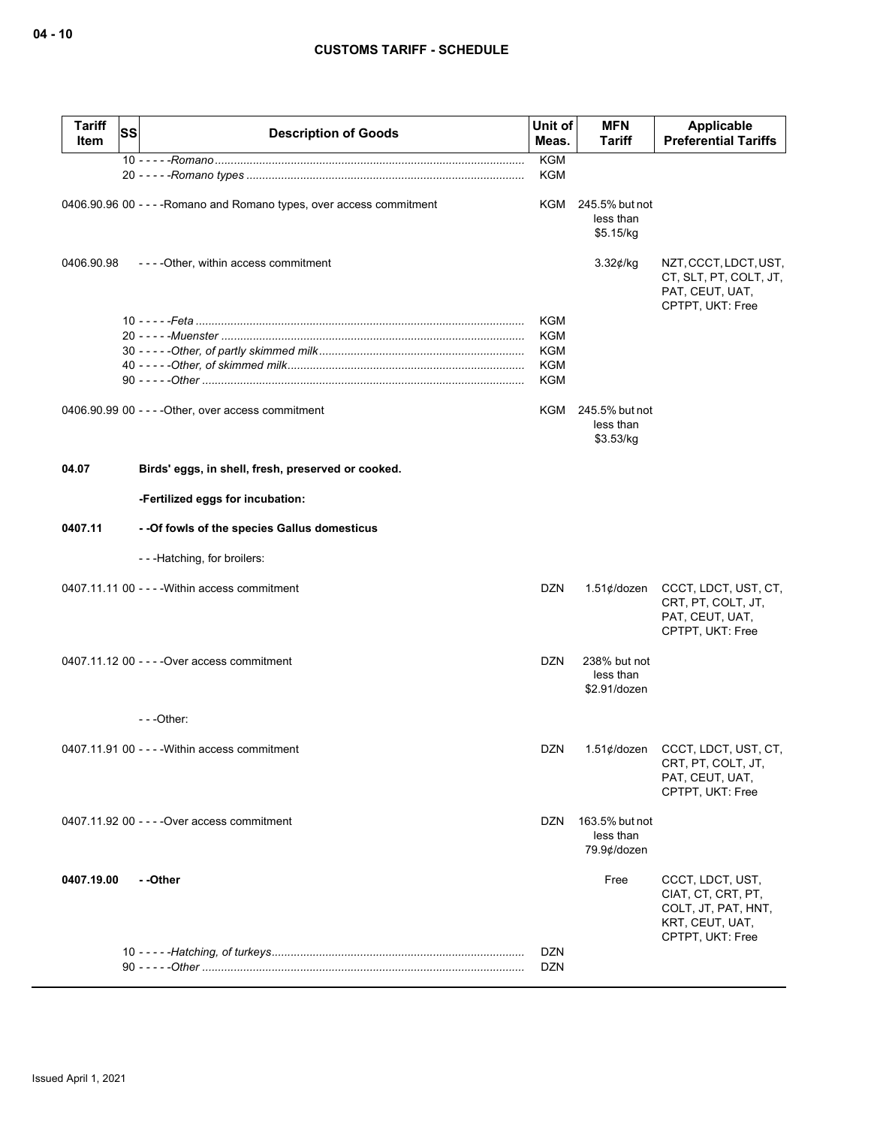| <b>Tariff</b><br>Item | <b>SS</b> | <b>Description of Goods</b>                                           | Unit of<br>Meas.         | <b>MFN</b><br><b>Tariff</b>                | Applicable<br><b>Preferential Tariffs</b>                                                            |
|-----------------------|-----------|-----------------------------------------------------------------------|--------------------------|--------------------------------------------|------------------------------------------------------------------------------------------------------|
|                       |           |                                                                       | <b>KGM</b><br><b>KGM</b> |                                            |                                                                                                      |
|                       |           | 0406.90.96 00 - - - - Romano and Romano types, over access commitment | KGM                      | 245.5% but not<br>less than<br>\$5.15/kg   |                                                                                                      |
| 0406.90.98            |           | ----Other, within access commitment                                   |                          | $3.32$ ¢/kg                                | NZT, CCCT, LDCT, UST,<br>CT, SLT, PT, COLT, JT,<br>PAT, CEUT, UAT,<br>CPTPT, UKT: Free               |
|                       |           |                                                                       | KGM                      |                                            |                                                                                                      |
|                       |           |                                                                       | KGM                      |                                            |                                                                                                      |
|                       |           |                                                                       | <b>KGM</b>               |                                            |                                                                                                      |
|                       |           |                                                                       | <b>KGM</b>               |                                            |                                                                                                      |
|                       |           |                                                                       | <b>KGM</b>               |                                            |                                                                                                      |
|                       |           | 0406.90.99 00 - - - - Other, over access commitment                   | KGM                      | 245.5% but not<br>less than<br>\$3.53/kg   |                                                                                                      |
| 04.07                 |           | Birds' eggs, in shell, fresh, preserved or cooked.                    |                          |                                            |                                                                                                      |
|                       |           | -Fertilized eggs for incubation:                                      |                          |                                            |                                                                                                      |
| 0407.11               |           | - - Of fowls of the species Gallus domesticus                         |                          |                                            |                                                                                                      |
|                       |           | ---Hatching, for broilers:                                            |                          |                                            |                                                                                                      |
|                       |           | 0407.11.11 00 - - - - Within access commitment                        | DZN                      | 1.51 $\phi$ /dozen                         | CCCT, LDCT, UST, CT,<br>CRT, PT, COLT, JT,<br>PAT, CEUT, UAT,<br>CPTPT, UKT: Free                    |
|                       |           | 0407.11.12 00 - - - - Over access commitment                          | <b>DZN</b>               | 238% but not<br>less than<br>\$2.91/dozen  |                                                                                                      |
|                       |           |                                                                       |                          |                                            |                                                                                                      |
|                       |           | $0407.11.91$ 00 - - - - Within access commitment                      | DZN                      |                                            | 1.51¢/dozen CCCT, LDCT, UST, CT,<br>CRT, PT, COLT, JT,<br>PAT, CEUT, UAT,<br>CPTPT, UKT: Free        |
|                       |           | 0407.11.92 00 - - - - Over access commitment                          | <b>DZN</b>               | 163.5% but not<br>less than<br>79.9¢/dozen |                                                                                                      |
| 0407.19.00            |           | - -Other                                                              |                          | Free                                       | CCCT, LDCT, UST,<br>CIAT, CT, CRT, PT,<br>COLT, JT, PAT, HNT,<br>KRT, CEUT, UAT,<br>CPTPT, UKT: Free |
|                       |           |                                                                       | <b>DZN</b><br>DZN        |                                            |                                                                                                      |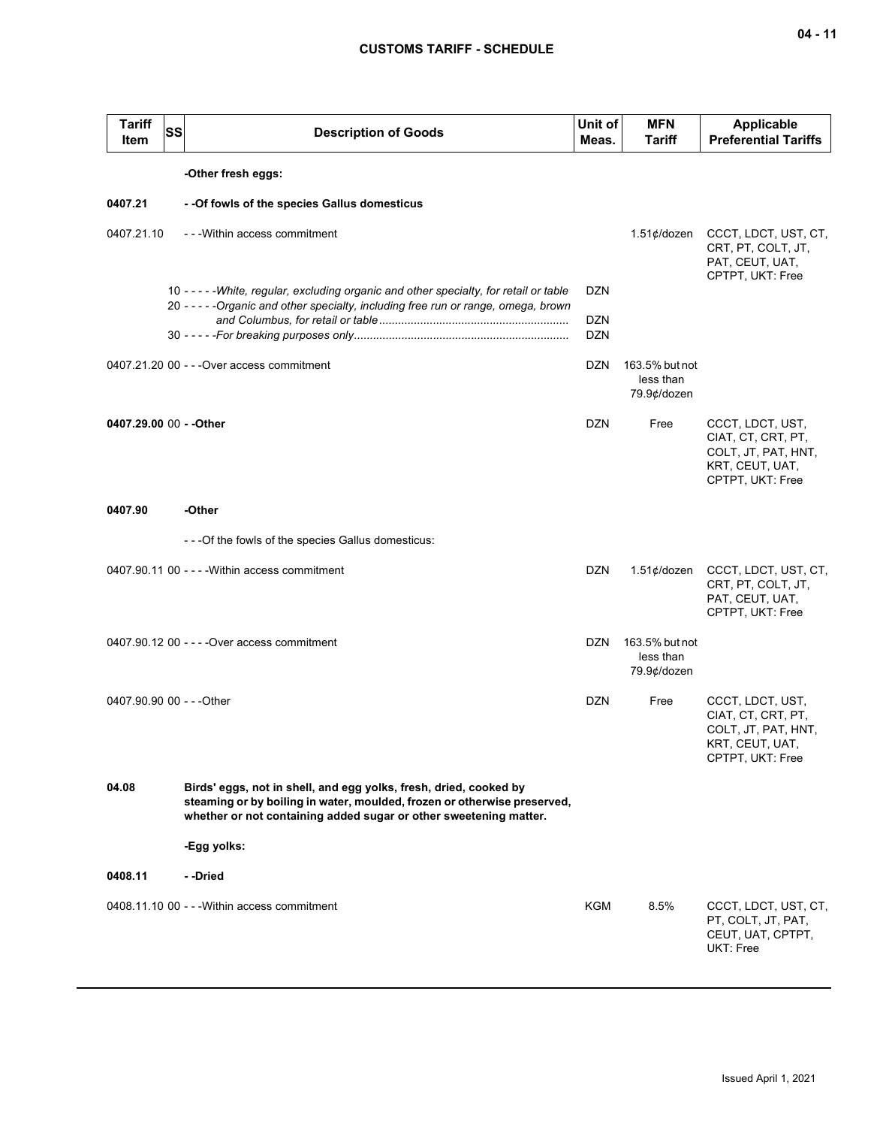| ×<br>۰, |  |
|---------|--|
|---------|--|

| <b>Tariff</b><br>Item     | <b>SS</b> | <b>Description of Goods</b>                                                                                                                                                                                        | Unit of<br>Meas.         | <b>MFN</b><br><b>Tariff</b>                | <b>Applicable</b><br><b>Preferential Tariffs</b>                                                     |
|---------------------------|-----------|--------------------------------------------------------------------------------------------------------------------------------------------------------------------------------------------------------------------|--------------------------|--------------------------------------------|------------------------------------------------------------------------------------------------------|
|                           |           | -Other fresh eggs:                                                                                                                                                                                                 |                          |                                            |                                                                                                      |
| 0407.21                   |           | - - Of fowls of the species Gallus domesticus                                                                                                                                                                      |                          |                                            |                                                                                                      |
| 0407.21.10                |           | - - - Within access commitment                                                                                                                                                                                     |                          | 1.51¢/dozen                                | CCCT, LDCT, UST, CT,<br>CRT, PT, COLT, JT,<br>PAT, CEUT, UAT,<br>CPTPT, UKT: Free                    |
|                           |           | 10 - - - - - White, regular, excluding organic and other specialty, for retail or table<br>20 - - - - - Organic and other specialty, including free run or range, omega, brown                                     | <b>DZN</b>               |                                            |                                                                                                      |
|                           |           |                                                                                                                                                                                                                    | <b>DZN</b><br><b>DZN</b> |                                            |                                                                                                      |
|                           |           | 0407.21.20 00 - - - Over access commitment                                                                                                                                                                         | DZN                      | 163.5% but not<br>less than<br>79.9¢/dozen |                                                                                                      |
| 0407.29.00 00 - - Other   |           |                                                                                                                                                                                                                    | <b>DZN</b>               | Free                                       | CCCT, LDCT, UST,<br>CIAT, CT, CRT, PT,<br>COLT, JT, PAT, HNT,<br>KRT, CEUT, UAT,<br>CPTPT, UKT: Free |
| 0407.90                   |           | -Other                                                                                                                                                                                                             |                          |                                            |                                                                                                      |
|                           |           | - - - Of the fowls of the species Gallus domesticus:                                                                                                                                                               |                          |                                            |                                                                                                      |
|                           |           | 0407.90.11 00 - - - - Within access commitment                                                                                                                                                                     | <b>DZN</b>               | $1.51¢$ /dozen                             | CCCT, LDCT, UST, CT,<br>CRT, PT, COLT, JT,<br>PAT, CEUT, UAT,<br>CPTPT, UKT: Free                    |
|                           |           | 0407.90.12 00 - - - - Over access commitment                                                                                                                                                                       | <b>DZN</b>               | 163.5% but not<br>less than<br>79.9¢/dozen |                                                                                                      |
| 0407.90.90 00 - - - Other |           |                                                                                                                                                                                                                    | <b>DZN</b>               | Free                                       | CCCT, LDCT, UST,<br>CIAT, CT, CRT, PT,<br>COLT, JT, PAT, HNT,<br>KRT, CEUT, UAT,<br>CPTPT, UKT: Free |
| 04.08                     |           | Birds' eggs, not in shell, and egg yolks, fresh, dried, cooked by<br>steaming or by boiling in water, moulded, frozen or otherwise preserved,<br>whether or not containing added sugar or other sweetening matter. |                          |                                            |                                                                                                      |
|                           |           | -Egg yolks:                                                                                                                                                                                                        |                          |                                            |                                                                                                      |
| 0408.11                   |           | - -Dried                                                                                                                                                                                                           |                          |                                            |                                                                                                      |
|                           |           | 0408.11.10 00 - - - Within access commitment                                                                                                                                                                       | KGM                      | 8.5%                                       | CCCT, LDCT, UST, CT,<br>PT, COLT, JT, PAT,<br>CEUT, UAT, CPTPT,<br>UKT: Free                         |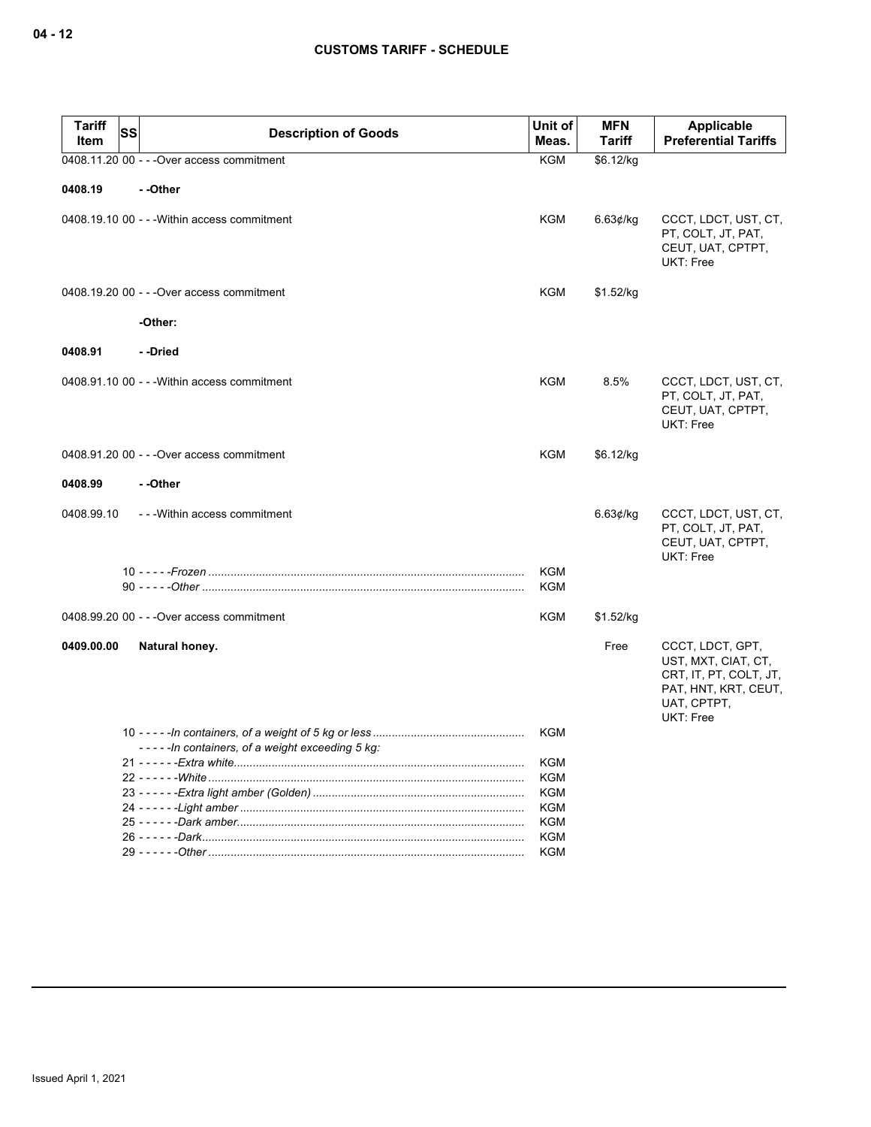| <b>Tariff</b><br><b>SS</b><br>Item | <b>Description of Goods</b>                     | Unit of<br>Meas.         | <b>MFN</b><br><b>Tariff</b> | Applicable<br><b>Preferential Tariffs</b>                                                                             |
|------------------------------------|-------------------------------------------------|--------------------------|-----------------------------|-----------------------------------------------------------------------------------------------------------------------|
|                                    | 0408.11.20 00 - - - Over access commitment      | <b>KGM</b>               | \$6.12/kg                   |                                                                                                                       |
| 0408.19                            | --Other                                         |                          |                             |                                                                                                                       |
|                                    | 0408.19.10 00 - - - Within access commitment    | <b>KGM</b>               | 6.63¢/kg                    | CCCT, LDCT, UST, CT,<br>PT, COLT, JT, PAT,<br>CEUT, UAT, CPTPT,<br>UKT: Free                                          |
|                                    | 0408.19.20 00 - - - Over access commitment      | KGM                      | \$1.52/kg                   |                                                                                                                       |
|                                    | -Other:                                         |                          |                             |                                                                                                                       |
| 0408.91                            | - -Dried                                        |                          |                             |                                                                                                                       |
|                                    | 0408.91.10 00 - - - Within access commitment    | KGM                      | 8.5%                        | CCCT, LDCT, UST, CT,<br>PT, COLT, JT, PAT,<br>CEUT, UAT, CPTPT,<br>UKT: Free                                          |
|                                    | 0408.91.20 00 - - - Over access commitment      | <b>KGM</b>               | \$6.12/kg                   |                                                                                                                       |
| 0408.99                            | - -Other                                        |                          |                             |                                                                                                                       |
| 0408.99.10                         | ---Within access commitment                     |                          | 6.63¢/kg                    | CCCT, LDCT, UST, CT,<br>PT, COLT, JT, PAT,<br>CEUT, UAT, CPTPT,<br>UKT: Free                                          |
|                                    |                                                 | <b>KGM</b><br><b>KGM</b> |                             |                                                                                                                       |
|                                    | 0408.99.20 00 - - - Over access commitment      | KGM                      | \$1.52/kg                   |                                                                                                                       |
| 0409.00.00                         | Natural honey.                                  |                          | Free                        | CCCT, LDCT, GPT,<br>UST, MXT, CIAT, CT,<br>CRT, IT, PT, COLT, JT,<br>PAT, HNT, KRT, CEUT,<br>UAT, CPTPT,<br>UKT: Free |
|                                    |                                                 | KGM                      |                             |                                                                                                                       |
|                                    | -----In containers, of a weight exceeding 5 kg: |                          |                             |                                                                                                                       |
|                                    |                                                 | KGM<br>KGM               |                             |                                                                                                                       |
|                                    |                                                 | KGM                      |                             |                                                                                                                       |
|                                    |                                                 | KGM                      |                             |                                                                                                                       |
|                                    |                                                 | <b>KGM</b>               |                             |                                                                                                                       |
|                                    |                                                 | KGM                      |                             |                                                                                                                       |
|                                    |                                                 | KGM                      |                             |                                                                                                                       |